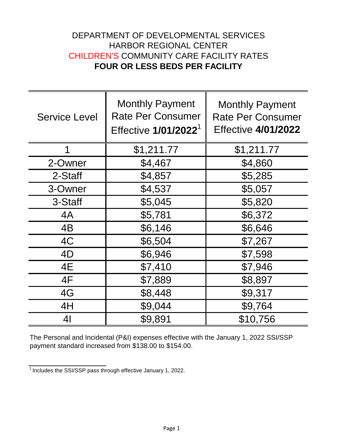## DEPARTMENT OF DEVELOPMENTAL SERVICES HARBOR REGIONAL CENTER CHILDREN'S COMMUNITY CARE FACILITY RATES **FOUR OR LESS BEDS PER FACILITY**

| <b>Service Level</b> | <b>Monthly Payment</b><br><b>Rate Per Consumer</b><br>Effective 1/01/2022 <sup>1</sup> | <b>Monthly Payment</b><br><b>Rate Per Consumer</b><br><b>Effective 4/01/2022</b> |
|----------------------|----------------------------------------------------------------------------------------|----------------------------------------------------------------------------------|
| 1                    | \$1,211.77                                                                             | \$1,211.77                                                                       |
| 2-Owner              | \$4,467                                                                                | \$4,860                                                                          |
| 2-Staff              | \$4,857                                                                                | \$5,285                                                                          |
| 3-Owner              | \$4,537                                                                                | \$5,057                                                                          |
| 3-Staff              | \$5,045                                                                                | \$5,820                                                                          |
| 4A                   | \$5,781                                                                                | \$6,372                                                                          |
| 4B                   | \$6,146                                                                                | \$6,646                                                                          |
| 4C                   | \$6,504                                                                                | \$7,267                                                                          |
| 4D                   | \$6,946                                                                                | \$7,598                                                                          |
| 4E                   | \$7,410                                                                                | \$7,946                                                                          |
| 4F                   | \$7,889                                                                                | \$8,897                                                                          |
| 4G                   | \$8,448                                                                                | \$9,317                                                                          |
| 4H                   | \$9,044                                                                                | \$9,764                                                                          |
| 4 <sub>l</sub>       | \$9,891                                                                                | \$10,756                                                                         |

The Personal and Incidental (P&I) expenses effective with the January 1, 2022 SSI/SSP payment standard increased from \$138.00 to \$154.00.

 $1$ Includes the SSI/SSP pass through effective January 1, 2022.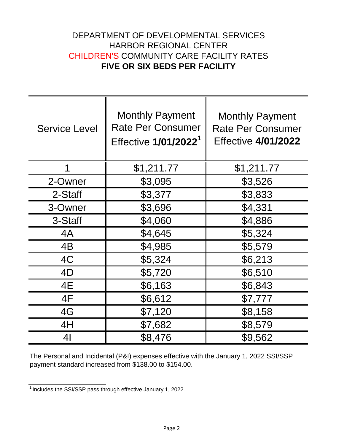## DEPARTMENT OF DEVELOPMENTAL SERVICES HARBOR REGIONAL CENTER CHILDREN'S COMMUNITY CARE FACILITY RATES **FIVE OR SIX BEDS PER FACILITY**

| <b>Service Level</b> | <b>Monthly Payment</b><br><b>Rate Per Consumer</b><br>Effective 1/01/2022 <sup>1</sup> | <b>Monthly Payment</b><br><b>Rate Per Consumer</b><br><b>Effective 4/01/2022</b> |
|----------------------|----------------------------------------------------------------------------------------|----------------------------------------------------------------------------------|
| 1                    | \$1,211.77                                                                             | \$1,211.77                                                                       |
| 2-Owner              | \$3,095                                                                                | \$3,526                                                                          |
| 2-Staff              | \$3,377                                                                                | \$3,833                                                                          |
| 3-Owner              | \$3,696                                                                                | \$4,331                                                                          |
| 3-Staff              | \$4,060                                                                                | \$4,886                                                                          |
| 4A                   | \$4,645                                                                                | \$5,324                                                                          |
| 4B                   | \$4,985                                                                                | \$5,579                                                                          |
| 4C                   | \$5,324                                                                                | \$6,213                                                                          |
| 4D                   | \$5,720                                                                                | \$6,510                                                                          |
| 4E                   | \$6,163                                                                                | \$6,843                                                                          |
| 4F                   | \$6,612                                                                                | \$7,777                                                                          |
| 4G                   | \$7,120                                                                                | \$8,158                                                                          |
| 4H                   | \$7,682                                                                                | \$8,579                                                                          |
| 4 <sub>l</sub>       | \$8,476                                                                                | \$9,562                                                                          |

The Personal and Incidental (P&I) expenses effective with the January 1, 2022 SSI/SSP payment standard increased from \$138.00 to \$154.00.

 $\frac{1}{1}$  Includes the SSI/SSP pass through effective January 1, 2022.